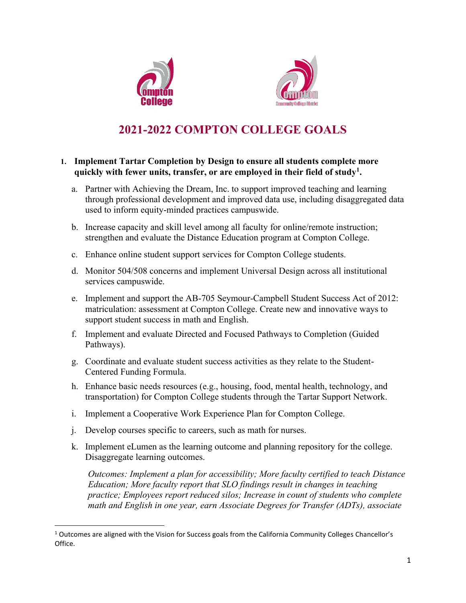



# **2021-2022 COMPTON COLLEGE GOALS**

### **1. Implement Tartar Completion by Design to ensure all students complete more quickly with fewer units, transfer, or are employed in their field of study<sup>1</sup> .**

- a. Partner with Achieving the Dream, Inc. to support improved teaching and learning through professional development and improved data use, including disaggregated data used to inform equity-minded practices campuswide.
- b. Increase capacity and skill level among all faculty for online/remote instruction; strengthen and evaluate the Distance Education program at Compton College.
- c. Enhance online student support services for Compton College students.
- d. Monitor 504/508 concerns and implement Universal Design across all institutional services campuswide.
- e. Implement and support the AB-705 Seymour-Campbell Student Success Act of 2012: matriculation: assessment at Compton College. Create new and innovative ways to support student success in math and English.
- f. Implement and evaluate Directed and Focused Pathways to Completion (Guided Pathways).
- g. Coordinate and evaluate student success activities as they relate to the Student-Centered Funding Formula.
- h. Enhance basic needs resources (e.g., housing, food, mental health, technology, and transportation) for Compton College students through the Tartar Support Network.
- i. Implement a Cooperative Work Experience Plan for Compton College.
- j. Develop courses specific to careers, such as math for nurses.
- k. Implement eLumen as the learning outcome and planning repository for the college. Disaggregate learning outcomes.

*Outcomes: Implement a plan for accessibility; More faculty certified to teach Distance Education; More faculty report that SLO findings result in changes in teaching practice; Employees report reduced silos; Increase in count of students who complete math and English in one year, earn Associate Degrees for Transfer (ADTs), associate*

 $1$  Outcomes are aligned with the Vision for Success goals from the California Community Colleges Chancellor's Office.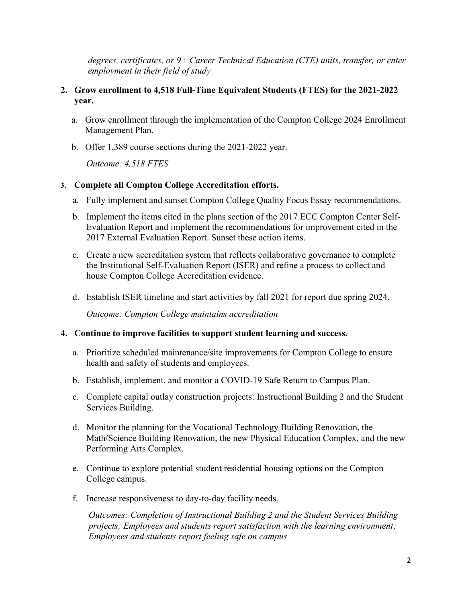*degrees, certificates, or 9+ Career Technical Education (CTE) units, transfer, or enter employment in their field of study*

## **2. Grow enrollment to 4,518 Full-Time Equivalent Students (FTES) for the 2021-2022 year.**

- a. Grow enrollment through the implementation of the Compton College 2024 Enrollment Management Plan.
- b. Offer 1,389 course sections during the 2021-2022 year.

*Outcome: 4,518 FTES*

### **3. Complete all Compton College Accreditation efforts.**

- a. Fully implement and sunset Compton College Quality Focus Essay recommendations.
- b. Implement the items cited in the plans section of the 2017 ECC Compton Center Self-Evaluation Report and implement the recommendations for improvement cited in the 2017 External Evaluation Report. Sunset these action items.
- c. Create a new accreditation system that reflects collaborative governance to complete the Institutional Self-Evaluation Report (ISER) and refine a process to collect and house Compton College Accreditation evidence.
- d. Establish ISER timeline and start activities by fall 2021 for report due spring 2024.

*Outcome: Compton College maintains accreditation*

#### **4. Continue to improve facilities to support student learning and success.**

- a. Prioritize scheduled maintenance/site improvements for Compton College to ensure health and safety of students and employees.
- b. Establish, implement, and monitor a COVID-19 Safe Return to Campus Plan.
- c. Complete capital outlay construction projects: Instructional Building 2 and the Student Services Building.
- d. Monitor the planning for the Vocational Technology Building Renovation, the Math/Science Building Renovation, the new Physical Education Complex, and the new Performing Arts Complex.
- e. Continue to explore potential student residential housing options on the Compton College campus.
- f. Increase responsiveness to day-to-day facility needs.

*Outcomes: Completion of Instructional Building 2 and the Student Services Building projects; Employees and students report satisfaction with the learning environment; Employees and students report feeling safe on campus*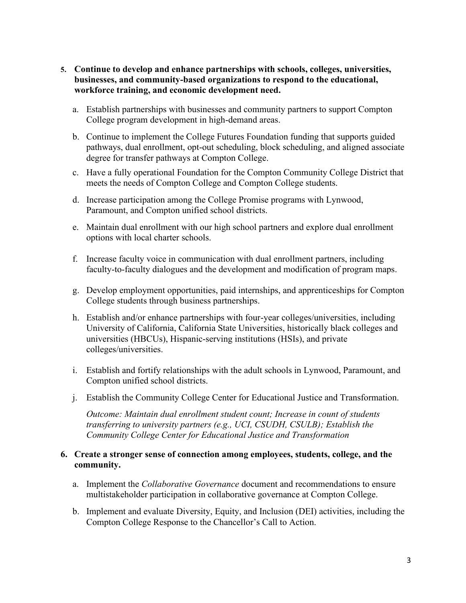- **5. Continue to develop and enhance partnerships with schools, colleges, universities, businesses, and community-based organizations to respond to the educational, workforce training, and economic development need.** 
	- a. Establish partnerships with businesses and community partners to support Compton College program development in high-demand areas.
	- b. Continue to implement the College Futures Foundation funding that supports guided pathways, dual enrollment, opt-out scheduling, block scheduling, and aligned associate degree for transfer pathways at Compton College.
	- c. Have a fully operational Foundation for the Compton Community College District that meets the needs of Compton College and Compton College students.
	- d. Increase participation among the College Promise programs with Lynwood, Paramount, and Compton unified school districts.
	- e. Maintain dual enrollment with our high school partners and explore dual enrollment options with local charter schools.
	- f. Increase faculty voice in communication with dual enrollment partners, including faculty-to-faculty dialogues and the development and modification of program maps.
	- g. Develop employment opportunities, paid internships, and apprenticeships for Compton College students through business partnerships.
	- h. Establish and/or enhance partnerships with four-year colleges/universities, including University of California, California State Universities, historically black colleges and universities (HBCUs), Hispanic-serving institutions (HSIs), and private colleges/universities.
	- i. Establish and fortify relationships with the adult schools in Lynwood, Paramount, and Compton unified school districts.
	- j. Establish the Community College Center for Educational Justice and Transformation.

*Outcome: Maintain dual enrollment student count; Increase in count of students transferring to university partners (e.g., UCI, CSUDH, CSULB); Establish the Community College Center for Educational Justice and Transformation*

### **6. Create a stronger sense of connection among employees, students, college, and the community.**

- a. Implement the *Collaborative Governance* document and recommendations to ensure multistakeholder participation in collaborative governance at Compton College.
- b. Implement and evaluate Diversity, Equity, and Inclusion (DEI) activities, including the Compton College Response to the Chancellor's Call to Action.